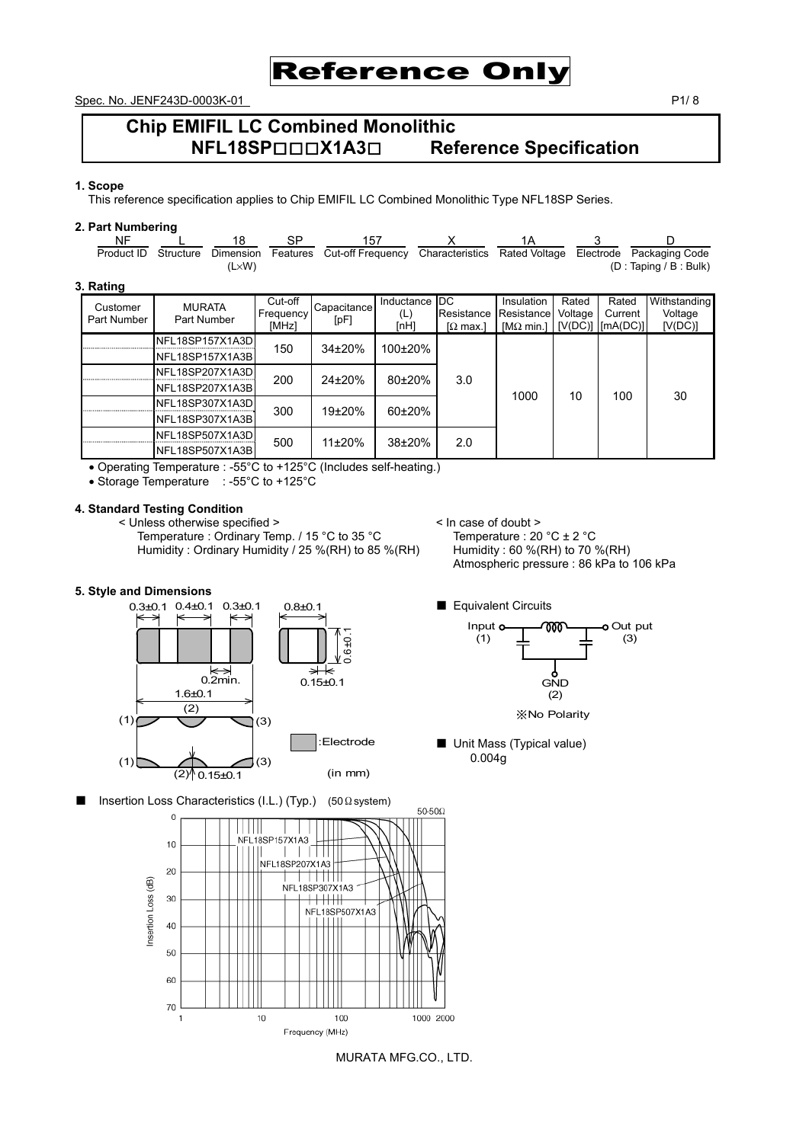

Spec. No. JENF243D-0003K-01 P1/ 8

## **Chip EMIFIL LC Combined Monolithic NFL18SP**□□□**X1A3**□ **Reference Specification**

#### **1. Scope**

This reference specification applies to Chip EMIFIL LC Combined Monolithic Type NFL18SP Series.

#### **2. Part Numbering**

| NF.         |                 | 18             | SP.       | 157               |            |                 | 1Α                |         |           |                         |
|-------------|-----------------|----------------|-----------|-------------------|------------|-----------------|-------------------|---------|-----------|-------------------------|
| Product ID  | Structure       | Dimension      | Features  | Cut-off Frequency |            | Characteristics | Rated Voltage     |         | Electrode | Packaging Code          |
|             |                 | $(L \times W)$ |           |                   |            |                 |                   |         |           | (D : Taping / B : Bulk) |
| 3. Rating   |                 |                |           |                   |            |                 |                   |         |           |                         |
| Customer    | <b>MURATA</b>   |                | Cut-off   | Capacitance       | Inductance | DC.             | Insulation        | Rated   | Rated     | Withstanding            |
| Part Number | Part Number     |                | Frequency | [pF]              | (L)        | Resistance      | Resistance        | Voltage | Current   | Voltage                 |
|             |                 |                | [MHz]     |                   | [nH]       | $\Omega$ max.   | [ $M\Omega$ min.] | [V(DC)] | [mA(DC)]  | [V(DC)]                 |
|             | NFL18SP157X1A3D |                | 150       | $34\pm20%$        | 100±20%    |                 |                   |         |           |                         |
|             | NFL18SP157X1A3B |                |           |                   |            |                 |                   |         |           |                         |
|             | NFL18SP207X1A3D |                |           |                   |            |                 |                   |         |           |                         |
|             | NFL18SP207X1A3B |                | 200       | $24\pm20%$        | $80+20%$   | 3.0             |                   |         |           |                         |
|             | NFL18SP307X1A3D |                |           |                   |            |                 | 1000              | 10      | 100       | 30                      |
|             | NFL18SP307X1A3B |                | 300       | $19+20%$          | $60+20%$   |                 |                   |         |           |                         |
|             | NFL18SP507X1A3D |                |           |                   |            |                 |                   |         |           |                         |
|             | NFL18SP507X1A3B |                | 500       | $11\pm20\%$       | 38±20%     | 2.0             |                   |         |           |                         |

• Operating Temperature : -55°C to +125°C (Includes self-heating.)

• Storage Temperature : -55°C to +125°C

#### **4. Standard Testing Condition**

< Unless otherwise specified > <br>Temperature : Ordinary Temp. / 15 °C to 35 °C <br>Temperature : 20 °C ± 2 °C Temperature : Ordinary Temp. / 15 °C to 35 °C Temperature : 20 °C  $\pm$  2 °C<br>Humidity : Ordinary Humidity / 25 % (RH) to 85 % (RH) Humidity : 60 % (RH) to 70 % (RH) Humidity : Ordinary Humidity / 25 %(RH) to 85 %(RH)

# Atmospheric pressure : 86 kPa to 106 kPa

## **5. Style and Dimensions**





(2) ※No Polarity

ل<br>GND

■ Unit Mass (Typical value) 0.004g

■ Insertion Loss Characteristics (I.L.) (Typ.) (50Ωsystem)



MURATA MFG.CO., LTD.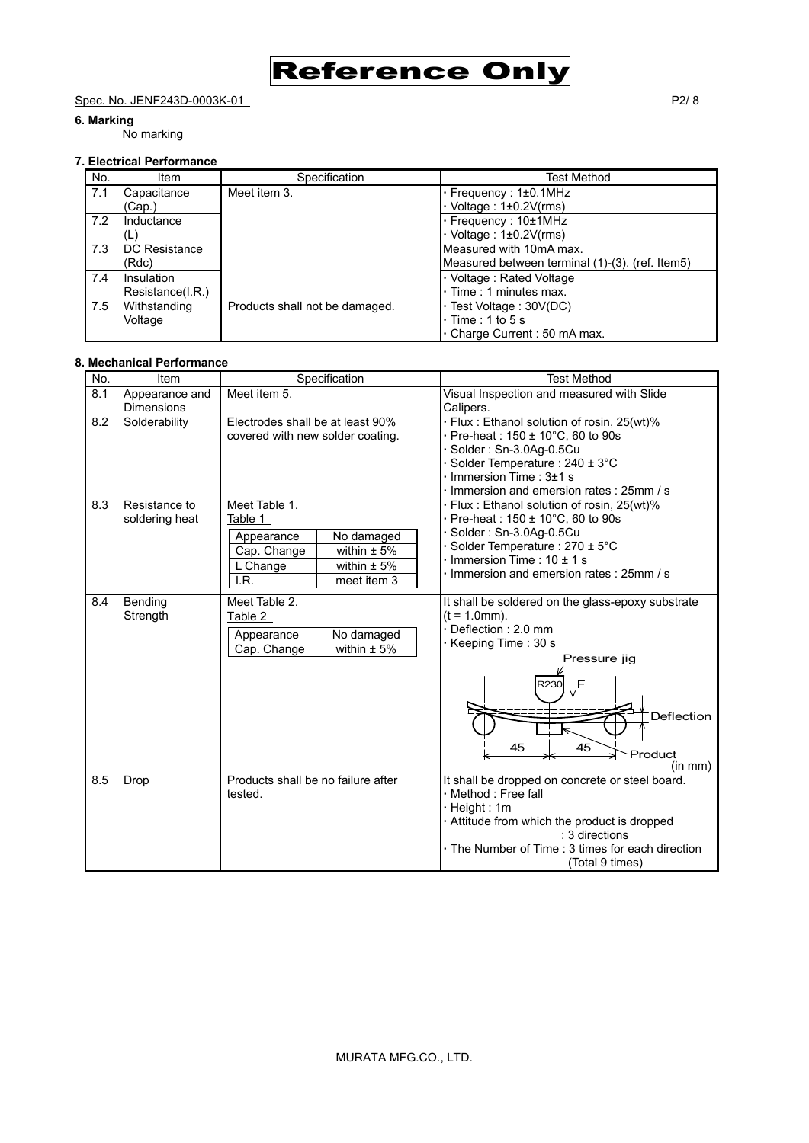Spec. No. JENF243D-0003K-01 P2/ 8

#### **6. Marking**

## No marking

|     | <b>7. Electrical Performance</b> |                                |                                                                                    |
|-----|----------------------------------|--------------------------------|------------------------------------------------------------------------------------|
| No. | Item                             | Specification                  | Test Method                                                                        |
| 7.1 | Capacitance<br>(Cap.)            | Meet item 3.                   | · Frequency: 1±0.1MHz<br>$\cdot$ Voltage : 1±0.2V(rms)                             |
| 7.2 | Inductance<br>(L)                |                                | $\cdot$ Frequency : 10 $\pm$ 1MHz<br>$\cdot$ Voltage : 1±0.2V(rms)                 |
| 7.3 | DC Resistance<br>(Rdc)           |                                | Measured with 10mA max.<br>Measured between terminal (1)-(3). (ref. Item5)         |
| 7.4 | Insulation<br>Resistance(I.R.)   |                                | · Voltage: Rated Voltage<br>$\cdot$ Time : 1 minutes max.                          |
| 7.5 | Withstanding<br>Voltage          | Products shall not be damaged. | · Test Voltage: 30V(DC)<br>$\cdot$ Time : 1 to 5 s<br>. Charge Current: 50 mA max. |

Reference Only

#### **8. Mechanical Performance**

| No. | Item                                | Specification                                                                                                                                | <b>Test Method</b>                                                                                                                                                                                                                        |
|-----|-------------------------------------|----------------------------------------------------------------------------------------------------------------------------------------------|-------------------------------------------------------------------------------------------------------------------------------------------------------------------------------------------------------------------------------------------|
| 8.1 | Appearance and<br><b>Dimensions</b> | Meet item 5.                                                                                                                                 | Visual Inspection and measured with Slide<br>Calipers.                                                                                                                                                                                    |
| 8.2 | Solderability                       | Electrodes shall be at least 90%<br>covered with new solder coating.                                                                         | · Flux: Ethanol solution of rosin, 25(wt)%<br>Pre-heat: 150 ± 10°C, 60 to 90s<br>Solder: Sn-3.0Ag-0.5Cu<br>Solder Temperature : $240 \pm 3^{\circ}$ C<br>Immersion Time : $3±1$ s<br>Immersion and emersion rates: 25mm / s               |
| 8.3 | Resistance to<br>soldering heat     | Meet Table 1.<br>Table 1<br>No damaged<br>Appearance<br>within $\pm$ 5%<br>Cap. Change<br>within $\pm$ 5%<br>L Change<br>meet item 3<br>I.R. | · Flux: Ethanol solution of rosin, 25(wt)%<br>$\cdot$ Pre-heat : 150 $\pm$ 10°C, 60 to 90s<br>Solder: Sn-3.0Ag-0.5Cu<br>Solder Temperature : 270 ± 5°C<br>$\cdot$ Immersion Time : 10 $\pm$ 1 s<br>Immersion and emersion rates: 25mm / s |
| 8.4 | Bending<br>Strength                 | Meet Table 2.<br>Table 2<br>No damaged<br>Appearance<br>within $± 5%$<br>Cap. Change                                                         | It shall be soldered on the glass-epoxy substrate<br>$(t = 1.0$ mm).<br>Deflection: 2.0 mm<br>· Keeping Time: 30 s<br>Pressure jig<br>l F<br>R230<br>Deflection<br>45<br>45<br>Product<br>(in mm)                                         |
| 8.5 | Drop                                | Products shall be no failure after<br>tested.                                                                                                | It shall be dropped on concrete or steel board.<br>· Method : Free fall<br>· Height: 1m<br>Attitude from which the product is dropped<br>: 3 directions<br>· The Number of Time : 3 times for each direction<br>(Total 9 times)           |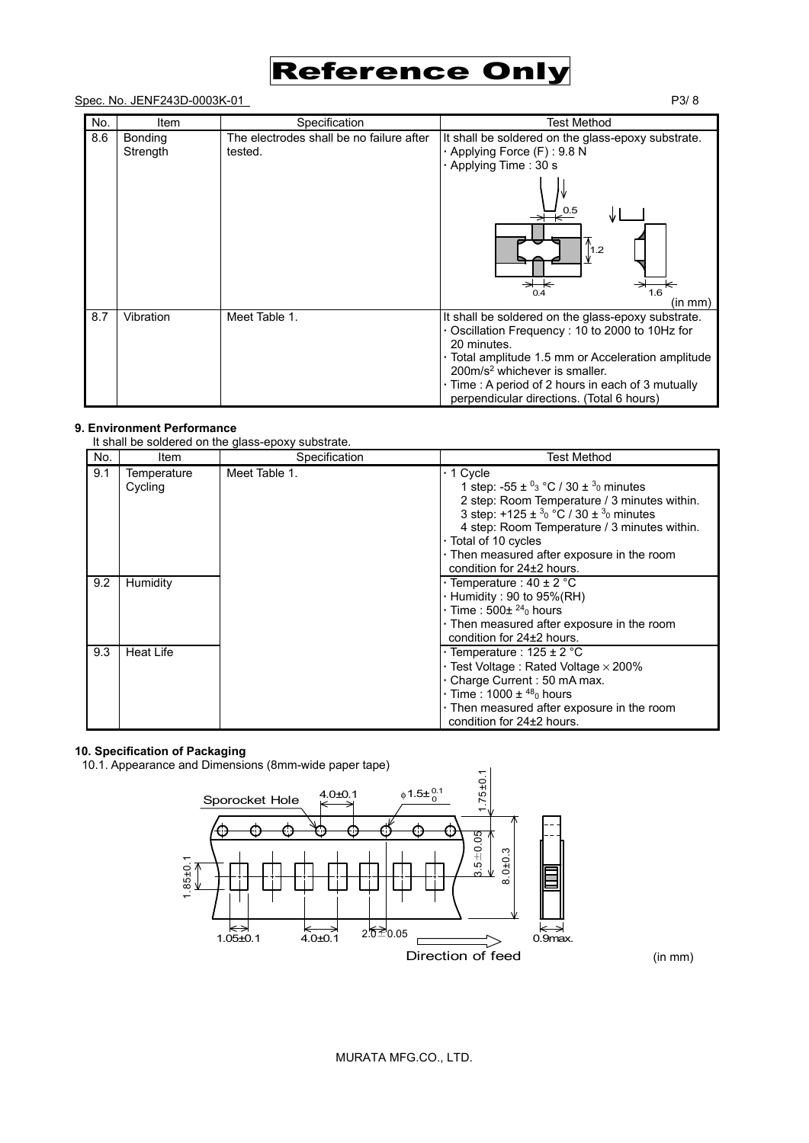

#### Spec. No. JENF243D-0003K-01 P3/ 8

| No. | Item                       | Specification                                       | Test Method                                                                                                                                                                                                                                                                                                             |
|-----|----------------------------|-----------------------------------------------------|-------------------------------------------------------------------------------------------------------------------------------------------------------------------------------------------------------------------------------------------------------------------------------------------------------------------------|
| 8.6 | <b>Bonding</b><br>Strength | The electrodes shall be no failure after<br>tested. | It shall be soldered on the glass-epoxy substrate.<br>· Applying Force (F): 9.8 N<br>· Applying Time: 30 s                                                                                                                                                                                                              |
|     |                            |                                                     | 0.5<br>$\vert$ 1.2<br>⇥<br>0.4<br>1.6<br>(in mm)                                                                                                                                                                                                                                                                        |
| 8.7 | Vibration                  | Meet Table 1.                                       | It shall be soldered on the glass-epoxy substrate.<br>Oscillation Frequency: 10 to 2000 to 10Hz for<br>20 minutes.<br>· Total amplitude 1.5 mm or Acceleration amplitude<br>200m/s <sup>2</sup> whichever is smaller.<br>· Time: A period of 2 hours in each of 3 mutually<br>perpendicular directions. (Total 6 hours) |

#### **9. Environment Performance**

It shall be soldered on the glass-epoxy substrate.

| No. | Item                   | Specification | <b>Test Method</b>                                                                                                                                                                                                                                                                                                                                                |
|-----|------------------------|---------------|-------------------------------------------------------------------------------------------------------------------------------------------------------------------------------------------------------------------------------------------------------------------------------------------------------------------------------------------------------------------|
| 9.1 | Temperature<br>Cycling | Meet Table 1. | $\cdot$ 1 Cycle<br>1 step: -55 $\pm$ <sup>0</sup> <sub>3</sub> °C / 30 $\pm$ <sup>3</sup> <sub>0</sub> minutes<br>2 step: Room Temperature / 3 minutes within.<br>3 step: +125 ± $3_0$ °C / 30 ± $3_0$ minutes<br>4 step: Room Temperature / 3 minutes within.<br>· Total of 10 cycles<br>. Then measured after exposure in the room<br>condition for 24±2 hours. |
| 9.2 | Humidity               |               | $\cdot$ Temperature : 40 $\pm$ 2 °C<br>$\cdot$ Humidity : 90 to 95%(RH)<br>$\cdot$ Time : 500 $\pm$ <sup>24</sup> <sub>0</sub> hours<br>. Then measured after exposure in the room<br>condition for 24±2 hours.                                                                                                                                                   |
| 9.3 | <b>Heat Life</b>       |               | $\cdot$ Temperature : 125 $\pm$ 2 °C<br>$\cdot$ Test Voltage : Rated Voltage $\times$ 200%<br>. Charge Current: 50 mA max.<br>$\cdot$ Time : 1000 $\pm$ <sup>48</sup> <sub>0</sub> hours<br>. Then measured after exposure in the room<br>condition for 24±2 hours.                                                                                               |

#### **10. Specification of Packaging**

10.1. Appearance and Dimensions (8mm-wide paper tape)



(in mm)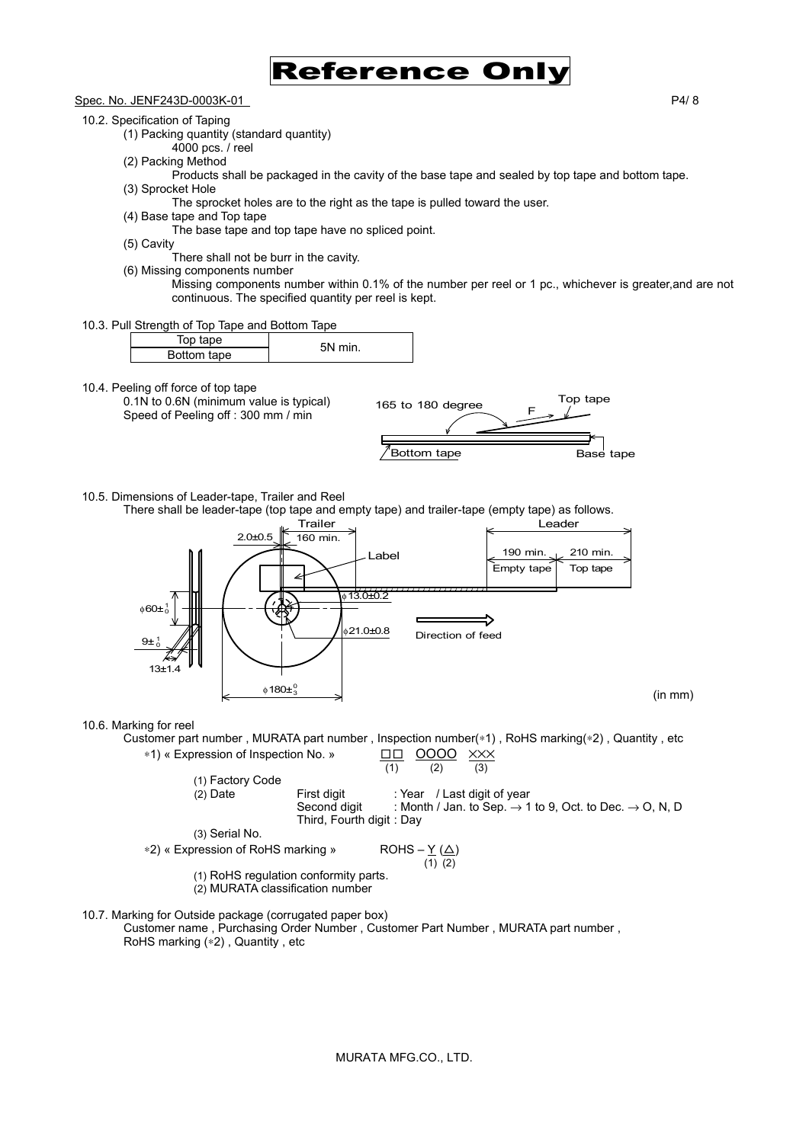

Spec. No. JENF243D-0003K-01 P4/ 8

10.2. Specification of Taping

(1) Packing quantity (standard quantity)

- 4000 pcs. / reel
- (2) Packing Method
	- Products shall be packaged in the cavity of the base tape and sealed by top tape and bottom tape.
- (3) Sprocket Hole
	- The sprocket holes are to the right as the tape is pulled toward the user.
- (4) Base tape and Top tape

The base tape and top tape have no spliced point.

(5) Cavity

There shall not be burr in the cavity.

- (6) Missing components number
	- Missing components number within 0.1% of the number per reel or 1 pc., whichever is greater,and are not continuous. The specified quantity per reel is kept.
- 10.3. Pull Strength of Top Tape and Bottom Tape

| Top tape    |  | 5N<br>min |  |
|-------------|--|-----------|--|
| Bottom tape |  |           |  |

10.4. Peeling off force of top tape

0.1N to 0.6N (minimum value is typical) Speed of Peeling off : 300 mm / min



10.5. Dimensions of Leader-tape, Trailer and Reel

There shall be leader-tape (top tape and empty tape) and trailer-tape (empty tape) as follows.



10.6. Marking for reel

Customer part number , MURATA part number , Inspection number(∗1) , RoHS marking(∗2) , Quantity , etc

\*1) « Expression of Inspection No. »

\n

| (1) Factory Code                                        | (2) Date                  | First digit | 2 | 2 |
|---------------------------------------------------------|---------------------------|-------------|---|---|
| (2) Date                                                | First digit               | 2           | 2 |   |
| (3) Serial No.                                          | Third, Fourth digit : Day |             |   |   |
| (4) $1$ Jan. to Step 2 → 1 to 9, Oct. to Dec. → 0, N, D |                           |             |   |   |
| (5) Serial No.                                          | Third, Fourth digit : Day |             |   |   |
| (6) $1$ RoHS (2) 10                                     | 10                        |             |   |   |
| (7) $1$ RoHS regulation conformity parts.               | 10                        |             |   |   |
| (8) $1$ RoHS regulation conformity parts.               | 10                        |             |   |   |
| (9) MURATA classification number                        | 10                        |             |   |   |

10.7. Marking for Outside package (corrugated paper box)

Customer name , Purchasing Order Number , Customer Part Number , MURATA part number , RoHS marking (∗2) , Quantity , etc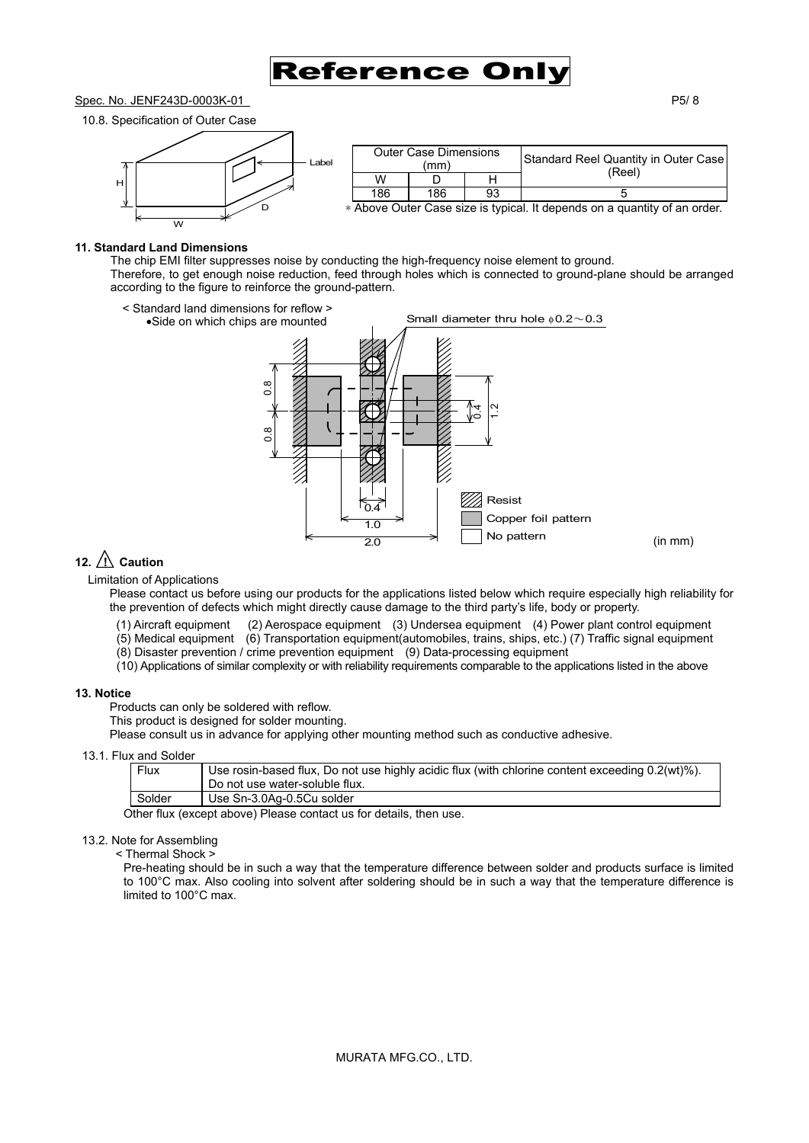## Reference Or

#### Spec. No. JENF243D-0003K-01 P5/ 8





| <b>Outer Case Dimensions</b><br>(mm) |     |    | Standard Reel Quantity in Outer Case<br>(Reel)                                |
|--------------------------------------|-----|----|-------------------------------------------------------------------------------|
| W                                    |     |    |                                                                               |
| 186                                  | 186 | 93 |                                                                               |
|                                      |     |    | $\ast$ Above Outer Case size is typical. It depends on a quantity of an order |

∗ Above Outer Case size is typical. It depends on a quantity of an order.

#### **11. Standard Land Dimensions**

The chip EMI filter suppresses noise by conducting the high-frequency noise element to ground. Therefore, to get enough noise reduction, feed through holes which is connected to ground-plane should be arranged according to the figure to reinforce the ground-pattern.



### 12.  $\bigwedge$  Caution

Limitation of Applications

Please contact us before using our products for the applications listed below which require especially high reliability for the prevention of defects which might directly cause damage to the third party's life, body or property.

- (1) Aircraft equipment (2) Aerospace equipment (3) Undersea equipment (4) Power plant control equipment
- (5) Medical equipment (6) Transportation equipment(automobiles, trains, ships, etc.) (7) Traffic signal equipment
- $(8)$  Disaster prevention / crime prevention equipment  $(9)$  Data-processing equipment
- (10) Applications of similar complexity or with reliability requirements comparable to the applications listed in the above

#### **13. Notice**

Products can only be soldered with reflow.

This product is designed for solder mounting.

Please consult us in advance for applying other mounting method such as conductive adhesive.

#### 13.1. Flux and Solder

| Flux                                | Use rosin-based flux, Do not use highly acidic flux (with chlorine content exceeding 0.2(wt)%).<br>Do not use water-soluble flux. |
|-------------------------------------|-----------------------------------------------------------------------------------------------------------------------------------|
| Solder<br>Use Sn-3.0Ag-0.5Cu solder |                                                                                                                                   |

Other flux (except above) Please contact us for details, then use.

#### 13.2. Note for Assembling

< Thermal Shock >

Pre-heating should be in such a way that the temperature difference between solder and products surface is limited to 100°C max. Also cooling into solvent after soldering should be in such a way that the temperature difference is limited to 100°C max.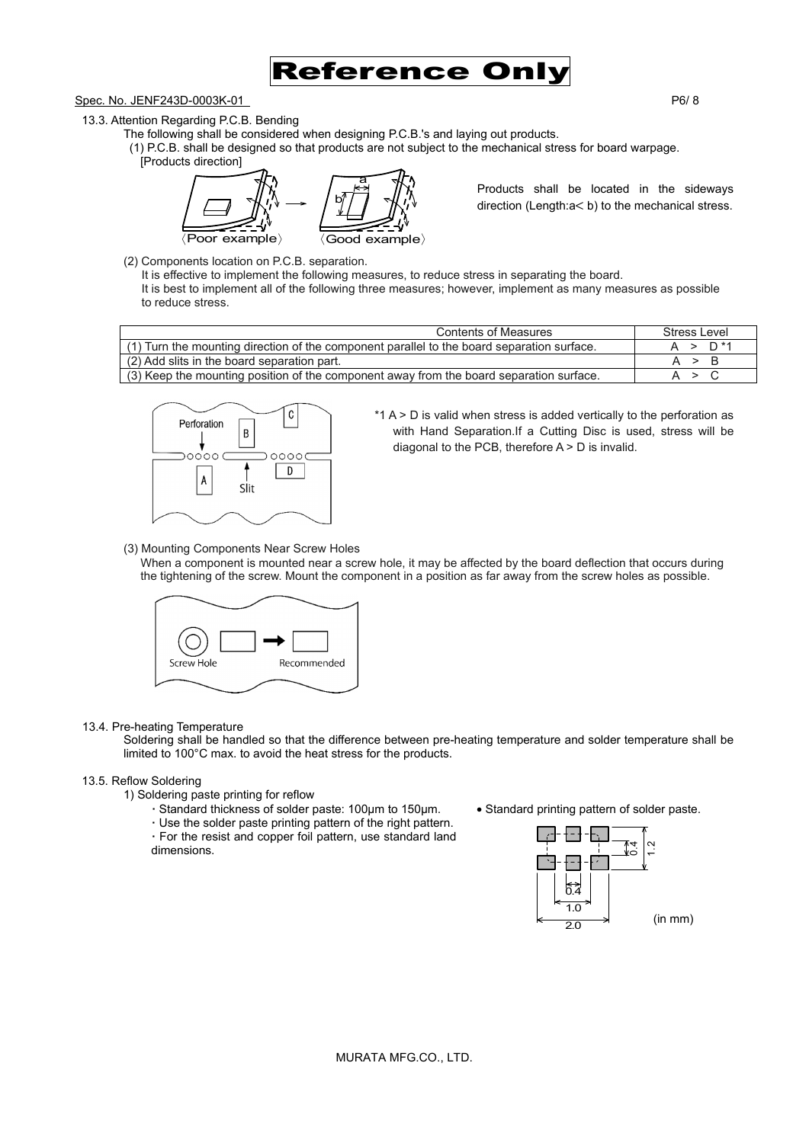

Spec. No. JENF243D-0003K-01 P6/ 8

13.3. Attention Regarding P.C.B. Bending

- The following shall be considered when designing P.C.B.'s and laying out products.
	- (1) P.C.B. shall be designed so that products are not subject to the mechanical stress for board warpage. [Products direction]

〈Poor example〉 〈Good example〉 b a

Products shall be located in the sideways direction (Length:a< b) to the mechanical stress.

(2) Components location on P.C.B. separation.

It is effective to implement the following measures, to reduce stress in separating the board. It is best to implement all of the following three measures; however, implement as many measures as possible to reduce stress.

| <b>Contents of Measures</b>                                                                | Stress Level       |
|--------------------------------------------------------------------------------------------|--------------------|
| (1) Turn the mounting direction of the component parallel to the board separation surface. | $\cdot$ > $D^{*4}$ |
| (2) Add slits in the board separation part.                                                |                    |
| (3) Keep the mounting position of the component away from the board separation surface.    |                    |



 $*1$  A  $>$  D is valid when stress is added vertically to the perforation as with Hand Separation.If a Cutting Disc is used, stress will be diagonal to the PCB, therefore  $A > D$  is invalid.

(3) Mounting Components Near Screw Holes

When a component is mounted near a screw hole, it may be affected by the board deflection that occurs during the tightening of the screw. Mount the component in a position as far away from the screw holes as possible.



#### 13.4. Pre-heating Temperature

Soldering shall be handled so that the difference between pre-heating temperature and solder temperature shall be limited to 100°C max. to avoid the heat stress for the products.

#### 13.5. Reflow Soldering

- 1) Soldering paste printing for reflow
	- **·** Standard thickness of solder paste: 100µm to 150µm. Standard printing pattern of solder paste.
	- **·** Use the solder paste printing pattern of the right pattern.

**·** For the resist and copper foil pattern, use standard land dimensions.

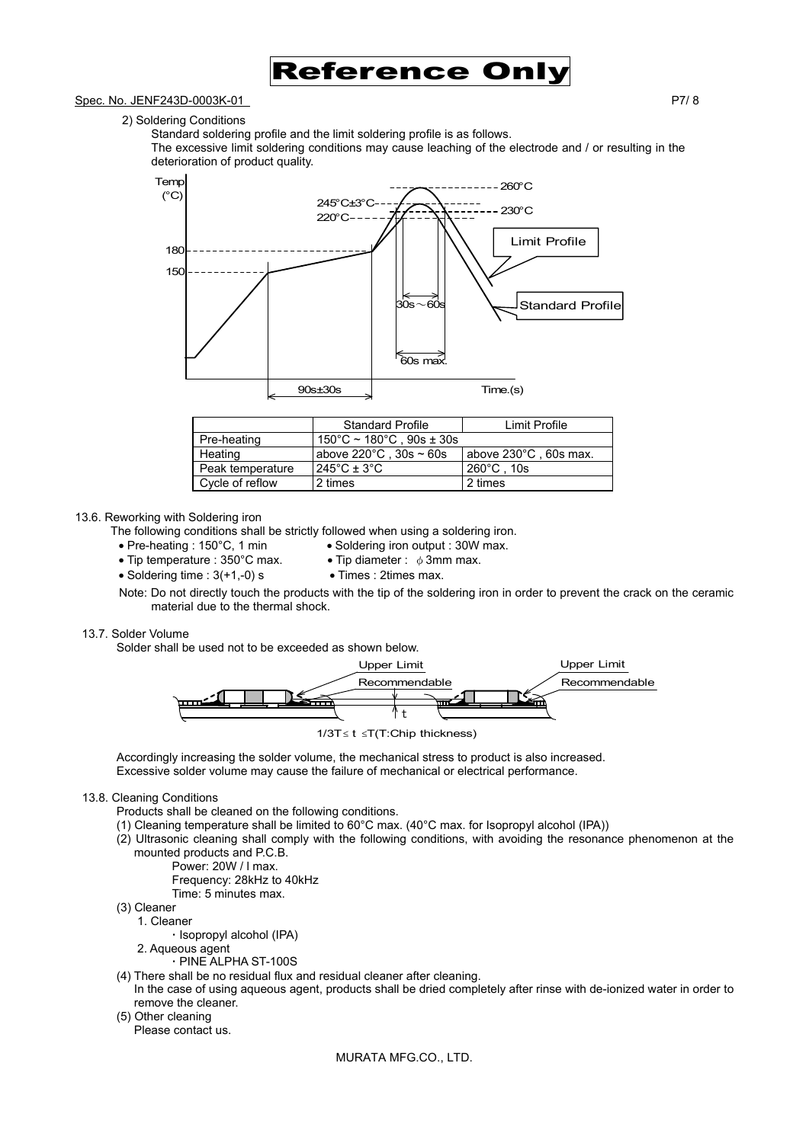

#### Spec. No. JENF243D-0003K-01 P7/ 8

2) Soldering Conditions

Standard soldering profile and the limit soldering profile is as follows.

The excessive limit soldering conditions may cause leaching of the electrode and / or resulting in the deterioration of product quality.



|                  | <b>Standard Profile</b>                       | Limit Profile         |  |
|------------------|-----------------------------------------------|-----------------------|--|
| Pre-heating      | $150^{\circ}$ C ~ 180 $^{\circ}$ C, 90s ± 30s |                       |  |
| Heating          | above 220 $^{\circ}$ C, 30s ~ 60s             | above 230°C, 60s max. |  |
| Peak temperature | $245^{\circ}$ C ± 3 $^{\circ}$ C              | $260^{\circ}$ C, 10s  |  |
| Cycle of reflow  | 2 times                                       | 2 times               |  |

#### 13.6. Reworking with Soldering iron

The following conditions shall be strictly followed when using a soldering iron.

- Pre-heating : 150°C, 1 min Soldering iron output : 30W max.
	-
- Tip temperature : 350°C max. Tip diameter :  $\phi$  3mm max.
- Soldering time :  $3(+1,-0)$  s Times : 2times max.
	-
- Note: Do not directly touch the products with the tip of the soldering iron in order to prevent the crack on the ceramic material due to the thermal shock.

#### 13.7. Solder Volume

Solder shall be used not to be exceeded as shown below.



1/3T≤ t ≤T(T:Chip thickness)

Accordingly increasing the solder volume, the mechanical stress to product is also increased. Excessive solder volume may cause the failure of mechanical or electrical performance.

#### 13.8. Cleaning Conditions

- Products shall be cleaned on the following conditions.
- (1) Cleaning temperature shall be limited to 60°C max. (40°C max. for Isopropyl alcohol (IPA))
- (2) Ultrasonic cleaning shall comply with the following conditions, with avoiding the resonance phenomenon at the mounted products and P.C.B.
	- Power: 20W / l max.
		- Frequency: 28kHz to 40kHz
		- Time: 5 minutes max.
- (3) Cleaner
	- 1. Cleaner
		- **·** Isopropyl alcohol (IPA)
	- 2. Aqueous agent
		- **·** PINE ALPHA ST-100S
- (4) There shall be no residual flux and residual cleaner after cleaning.
- In the case of using aqueous agent, products shall be dried completely after rinse with de-ionized water in order to remove the cleaner.
- (5) Other cleaning

Please contact us.